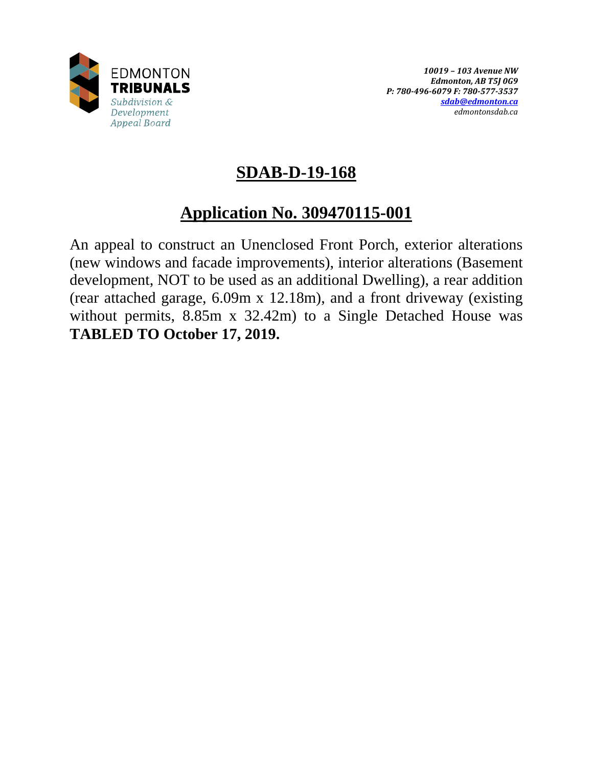

# **SDAB-D-19-168**

# **Application No. 309470115-001**

An appeal to construct an Unenclosed Front Porch, exterior alterations (new windows and facade improvements), interior alterations (Basement development, NOT to be used as an additional Dwelling), a rear addition (rear attached garage, 6.09m x 12.18m), and a front driveway (existing without permits, 8.85m x 32.42m) to a Single Detached House was **TABLED TO October 17, 2019.**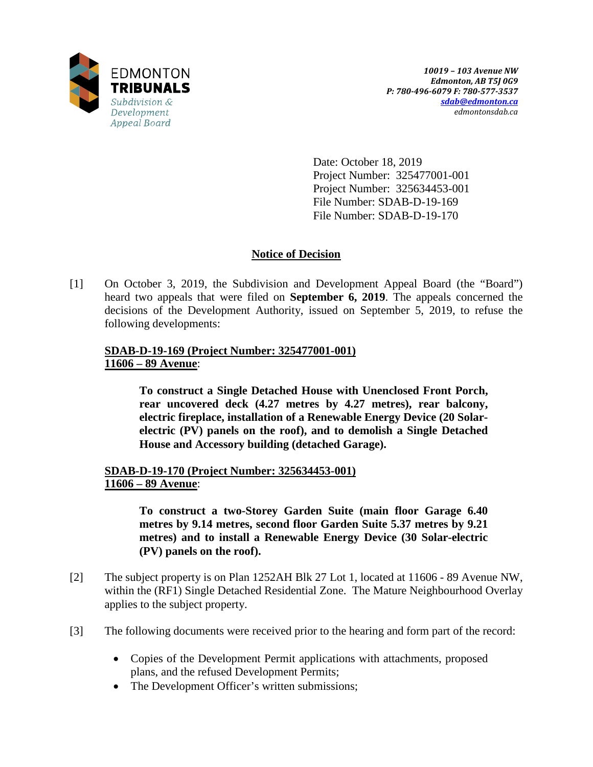

Date: October 18, 2019 Project Number: 325477001-001 Project Number: 325634453-001 File Number: SDAB-D-19-169 File Number: SDAB-D-19-170

# **Notice of Decision**

[1] On October 3, 2019, the Subdivision and Development Appeal Board (the "Board") heard two appeals that were filed on **September 6, 2019**. The appeals concerned the decisions of the Development Authority, issued on September 5, 2019, to refuse the following developments:

# **SDAB-D-19-169 (Project Number: 325477001-001) 11606 – 89 Avenue**:

**To construct a Single Detached House with Unenclosed Front Porch, rear uncovered deck (4.27 metres by 4.27 metres), rear balcony, electric fireplace, installation of a Renewable Energy Device (20 Solarelectric (PV) panels on the roof), and to demolish a Single Detached House and Accessory building (detached Garage).**

**SDAB-D-19-170 (Project Number: 325634453-001) 11606 – 89 Avenue**:

> **To construct a two-Storey Garden Suite (main floor Garage 6.40 metres by 9.14 metres, second floor Garden Suite 5.37 metres by 9.21 metres) and to install a Renewable Energy Device (30 Solar-electric (PV) panels on the roof).**

- [2] The subject property is on Plan 1252AH Blk 27 Lot 1, located at 11606 89 Avenue NW, within the (RF1) Single Detached Residential Zone. The Mature Neighbourhood Overlay applies to the subject property.
- [3] The following documents were received prior to the hearing and form part of the record:
	- Copies of the Development Permit applications with attachments, proposed plans, and the refused Development Permits;
	- The Development Officer's written submissions;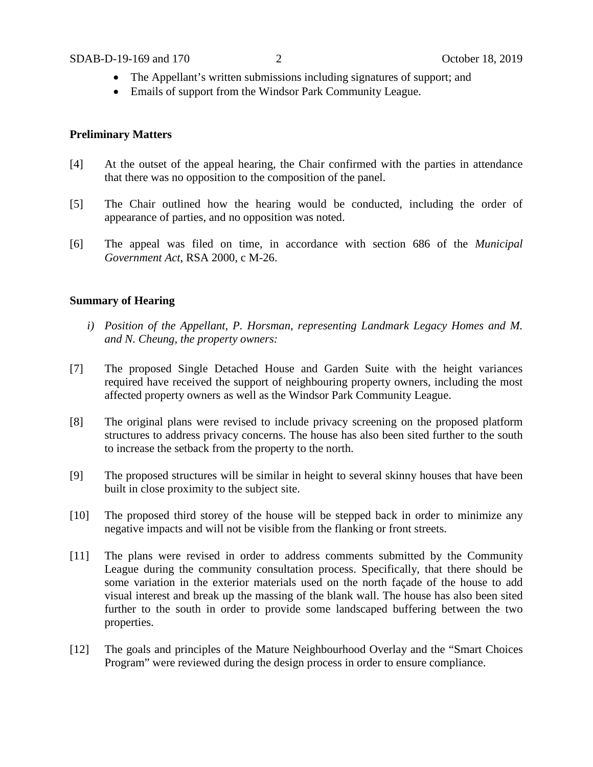- The Appellant's written submissions including signatures of support; and
- Emails of support from the Windsor Park Community League.

## **Preliminary Matters**

- [4] At the outset of the appeal hearing, the Chair confirmed with the parties in attendance that there was no opposition to the composition of the panel.
- [5] The Chair outlined how the hearing would be conducted, including the order of appearance of parties, and no opposition was noted.
- [6] The appeal was filed on time, in accordance with section 686 of the *Municipal Government Act*, RSA 2000, c M-26.

## **Summary of Hearing**

- *i) Position of the Appellant, P. Horsman, representing Landmark Legacy Homes and M. and N. Cheung, the property owners:*
- [7] The proposed Single Detached House and Garden Suite with the height variances required have received the support of neighbouring property owners, including the most affected property owners as well as the Windsor Park Community League.
- [8] The original plans were revised to include privacy screening on the proposed platform structures to address privacy concerns. The house has also been sited further to the south to increase the setback from the property to the north.
- [9] The proposed structures will be similar in height to several skinny houses that have been built in close proximity to the subject site.
- [10] The proposed third storey of the house will be stepped back in order to minimize any negative impacts and will not be visible from the flanking or front streets.
- [11] The plans were revised in order to address comments submitted by the Community League during the community consultation process. Specifically, that there should be some variation in the exterior materials used on the north façade of the house to add visual interest and break up the massing of the blank wall. The house has also been sited further to the south in order to provide some landscaped buffering between the two properties.
- [12] The goals and principles of the Mature Neighbourhood Overlay and the "Smart Choices Program" were reviewed during the design process in order to ensure compliance.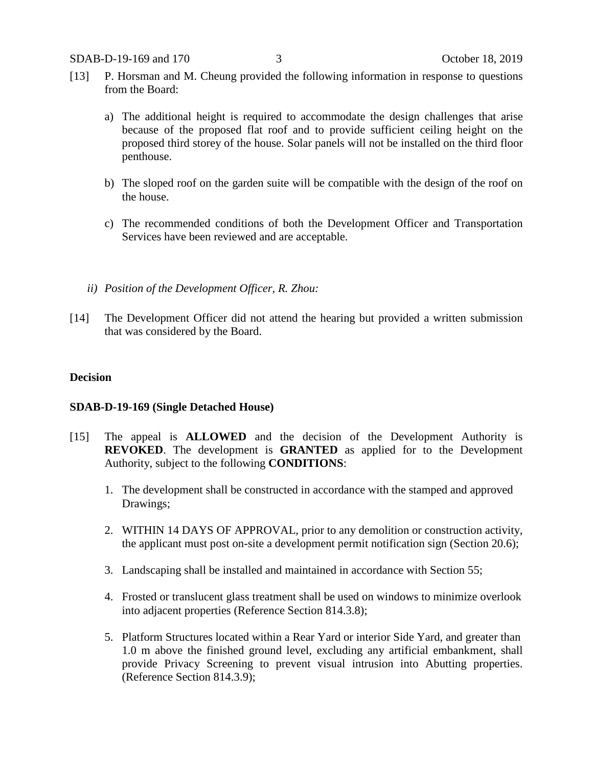- [13] P. Horsman and M. Cheung provided the following information in response to questions from the Board:
	- a) The additional height is required to accommodate the design challenges that arise because of the proposed flat roof and to provide sufficient ceiling height on the proposed third storey of the house. Solar panels will not be installed on the third floor penthouse.
	- b) The sloped roof on the garden suite will be compatible with the design of the roof on the house.
	- c) The recommended conditions of both the Development Officer and Transportation Services have been reviewed and are acceptable.
	- *ii) Position of the Development Officer, R. Zhou:*
- [14] The Development Officer did not attend the hearing but provided a written submission that was considered by the Board.

#### **Decision**

#### **SDAB-D-19-169 (Single Detached House)**

- [15] The appeal is **ALLOWED** and the decision of the Development Authority is **REVOKED**. The development is **GRANTED** as applied for to the Development Authority, subject to the following **CONDITIONS**:
	- 1. The development shall be constructed in accordance with the stamped and approved Drawings;
	- 2. WITHIN 14 DAYS OF APPROVAL, prior to any demolition or construction activity, the applicant must post on-site a development permit notification sign (Section 20.6);
	- 3. Landscaping shall be installed and maintained in accordance with Section 55;
	- 4. Frosted or translucent glass treatment shall be used on windows to minimize overlook into adjacent properties (Reference Section 814.3.8);
	- 5. Platform Structures located within a Rear Yard or interior Side Yard, and greater than 1.0 m above the finished ground level, excluding any artificial embankment, shall provide Privacy Screening to prevent visual intrusion into Abutting properties. (Reference Section 814.3.9);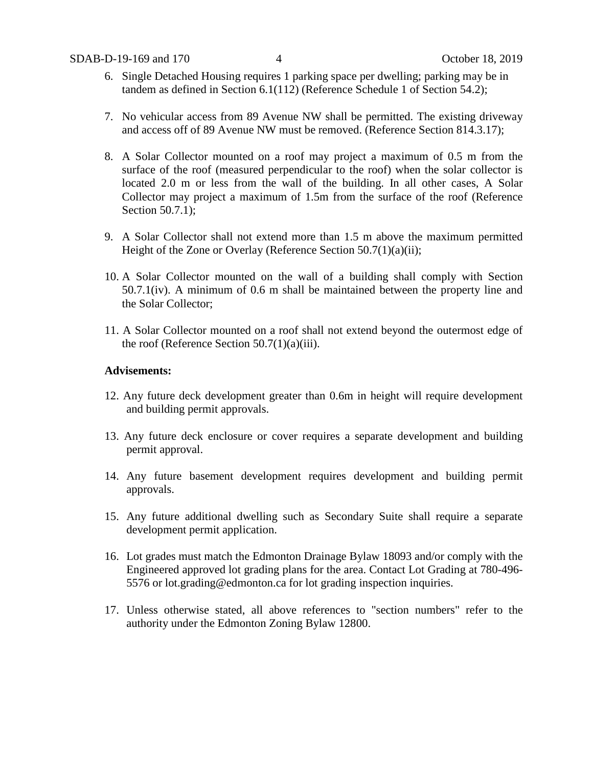- 6. Single Detached Housing requires 1 parking space per dwelling; parking may be in tandem as defined in Section 6.1(112) (Reference Schedule 1 of Section 54.2);
- 7. No vehicular access from 89 Avenue NW shall be permitted. The existing driveway and access off of 89 Avenue NW must be removed. (Reference Section 814.3.17);
- 8. A Solar Collector mounted on a roof may project a maximum of 0.5 m from the surface of the roof (measured perpendicular to the roof) when the solar collector is located 2.0 m or less from the wall of the building. In all other cases, A Solar Collector may project a maximum of 1.5m from the surface of the roof (Reference Section 50.7.1);
- 9. A Solar Collector shall not extend more than 1.5 m above the maximum permitted Height of the Zone or Overlay (Reference Section 50.7(1)(a)(ii);
- 10. A Solar Collector mounted on the wall of a building shall comply with Section 50.7.1(iv). A minimum of 0.6 m shall be maintained between the property line and the Solar Collector;
- 11. A Solar Collector mounted on a roof shall not extend beyond the outermost edge of the roof (Reference Section  $50.7(1)(a)(iii)$ .

## **Advisements:**

- 12. Any future deck development greater than 0.6m in height will require development and building permit approvals.
- 13. Any future deck enclosure or cover requires a separate development and building permit approval.
- 14. Any future basement development requires development and building permit approvals.
- 15. Any future additional dwelling such as Secondary Suite shall require a separate development permit application.
- 16. Lot grades must match the Edmonton Drainage Bylaw 18093 and/or comply with the Engineered approved lot grading plans for the area. Contact Lot Grading at 780-496- 5576 or lot.grading@edmonton.ca for lot grading inspection inquiries.
- 17. Unless otherwise stated, all above references to "section numbers" refer to the authority under the Edmonton Zoning Bylaw 12800.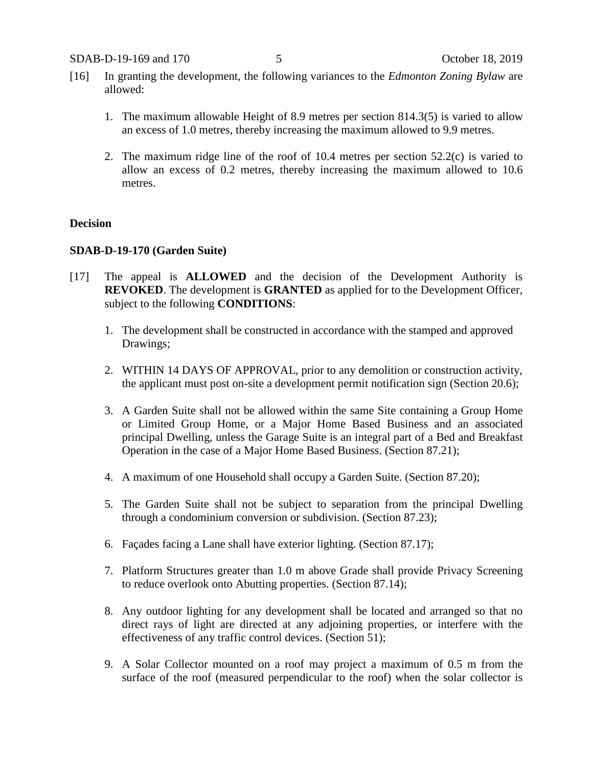- [16] In granting the development, the following variances to the *Edmonton Zoning Bylaw* are allowed:
	- 1. The maximum allowable Height of 8.9 metres per section 814.3(5) is varied to allow an excess of 1.0 metres, thereby increasing the maximum allowed to 9.9 metres.
	- 2. The maximum ridge line of the roof of 10.4 metres per section 52.2(c) is varied to allow an excess of 0.2 metres, thereby increasing the maximum allowed to 10.6 metres.

# **Decision**

# **SDAB-D-19-170 (Garden Suite)**

- [17] The appeal is **ALLOWED** and the decision of the Development Authority is **REVOKED**. The development is **GRANTED** as applied for to the Development Officer, subject to the following **CONDITIONS**:
	- 1. The development shall be constructed in accordance with the stamped and approved Drawings;
	- 2. WITHIN 14 DAYS OF APPROVAL, prior to any demolition or construction activity, the applicant must post on-site a development permit notification sign (Section 20.6);
	- 3. A Garden Suite shall not be allowed within the same Site containing a Group Home or Limited Group Home, or a Major Home Based Business and an associated principal Dwelling, unless the Garage Suite is an integral part of a Bed and Breakfast Operation in the case of a Major Home Based Business. (Section 87.21);
	- 4. A maximum of one Household shall occupy a Garden Suite. (Section 87.20);
	- 5. The Garden Suite shall not be subject to separation from the principal Dwelling through a condominium conversion or subdivision. (Section 87.23);
	- 6. Façades facing a Lane shall have exterior lighting. (Section 87.17);
	- 7. Platform Structures greater than 1.0 m above Grade shall provide Privacy Screening to reduce overlook onto Abutting properties. (Section 87.14);
	- 8. Any outdoor lighting for any development shall be located and arranged so that no direct rays of light are directed at any adjoining properties, or interfere with the effectiveness of any traffic control devices. (Section 51);
	- 9. A Solar Collector mounted on a roof may project a maximum of 0.5 m from the surface of the roof (measured perpendicular to the roof) when the solar collector is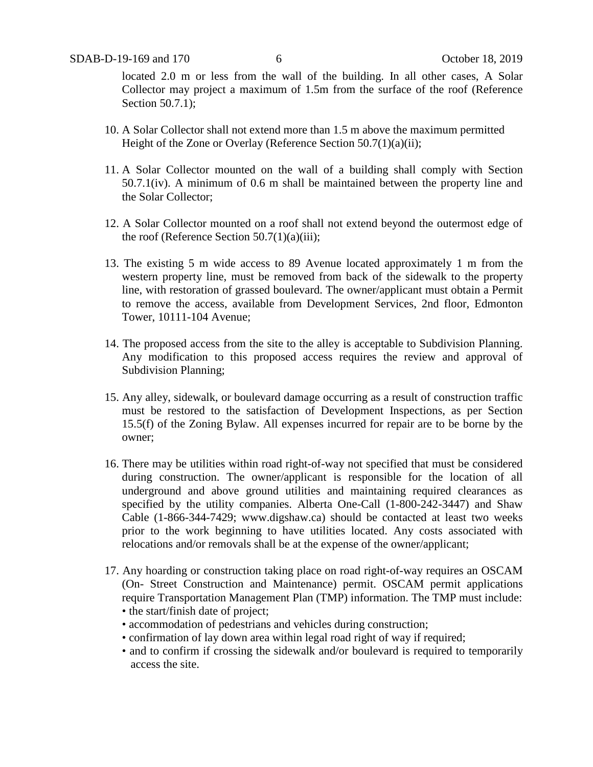located 2.0 m or less from the wall of the building. In all other cases, A Solar Collector may project a maximum of 1.5m from the surface of the roof (Reference Section 50.7.1);

- 10. A Solar Collector shall not extend more than 1.5 m above the maximum permitted Height of the Zone or Overlay (Reference Section 50.7(1)(a)(ii);
- 11. A Solar Collector mounted on the wall of a building shall comply with Section 50.7.1(iv). A minimum of 0.6 m shall be maintained between the property line and the Solar Collector;
- 12. A Solar Collector mounted on a roof shall not extend beyond the outermost edge of the roof (Reference Section  $50.7(1)(a)(iii)$ ;
- 13. The existing 5 m wide access to 89 Avenue located approximately 1 m from the western property line, must be removed from back of the sidewalk to the property line, with restoration of grassed boulevard. The owner/applicant must obtain a Permit to remove the access, available from Development Services, 2nd floor, Edmonton Tower, 10111-104 Avenue;
- 14. The proposed access from the site to the alley is acceptable to Subdivision Planning. Any modification to this proposed access requires the review and approval of Subdivision Planning;
- 15. Any alley, sidewalk, or boulevard damage occurring as a result of construction traffic must be restored to the satisfaction of Development Inspections, as per Section 15.5(f) of the Zoning Bylaw. All expenses incurred for repair are to be borne by the owner;
- 16. There may be utilities within road right-of-way not specified that must be considered during construction. The owner/applicant is responsible for the location of all underground and above ground utilities and maintaining required clearances as specified by the utility companies. Alberta One-Call (1-800-242-3447) and Shaw Cable (1-866-344-7429; www.digshaw.ca) should be contacted at least two weeks prior to the work beginning to have utilities located. Any costs associated with relocations and/or removals shall be at the expense of the owner/applicant;
- 17. Any hoarding or construction taking place on road right-of-way requires an OSCAM (On- Street Construction and Maintenance) permit. OSCAM permit applications require Transportation Management Plan (TMP) information. The TMP must include: • the start/finish date of project;
	- accommodation of pedestrians and vehicles during construction;
	- confirmation of lay down area within legal road right of way if required;
	- and to confirm if crossing the sidewalk and/or boulevard is required to temporarily access the site.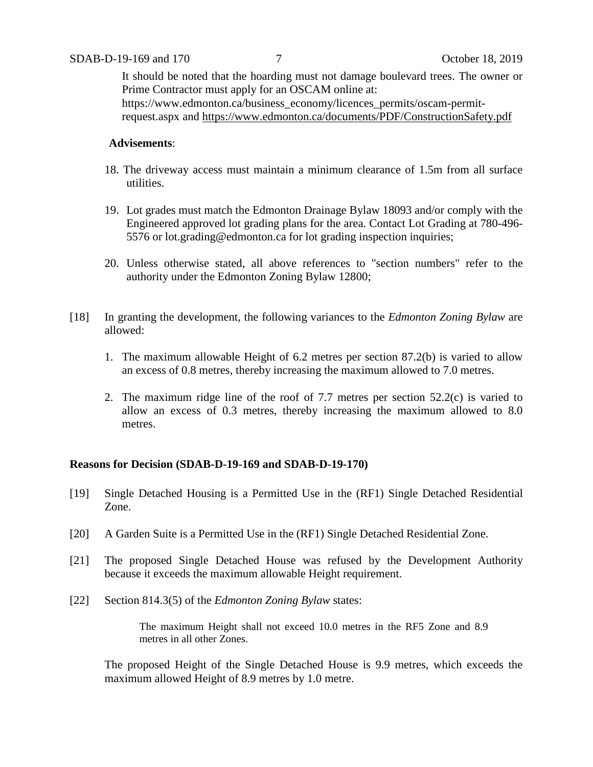It should be noted that the hoarding must not damage boulevard trees. The owner or Prime Contractor must apply for an OSCAM online at: https://www.edmonton.ca/business\_economy/licences\_permits/oscam-permitrequest.aspx and<https://www.edmonton.ca/documents/PDF/ConstructionSafety.pdf>

# **Advisements**:

- 18. The driveway access must maintain a minimum clearance of 1.5m from all surface utilities.
- 19. Lot grades must match the Edmonton Drainage Bylaw 18093 and/or comply with the Engineered approved lot grading plans for the area. Contact Lot Grading at 780-496- 5576 or lot.grading@edmonton.ca for lot grading inspection inquiries;
- 20. Unless otherwise stated, all above references to "section numbers" refer to the authority under the Edmonton Zoning Bylaw 12800;
- [18] In granting the development, the following variances to the *Edmonton Zoning Bylaw* are allowed:
	- 1. The maximum allowable Height of 6.2 metres per section 87.2(b) is varied to allow an excess of 0.8 metres, thereby increasing the maximum allowed to 7.0 metres.
	- 2. The maximum ridge line of the roof of 7.7 metres per section 52.2(c) is varied to allow an excess of 0.3 metres, thereby increasing the maximum allowed to 8.0 metres.

# **Reasons for Decision (SDAB-D-19-169 and SDAB-D-19-170)**

- [19] Single Detached Housing is a Permitted Use in the (RF1) Single Detached Residential Zone.
- [20] A Garden Suite is a Permitted Use in the (RF1) Single Detached Residential Zone.
- [21] The proposed Single Detached House was refused by the Development Authority because it exceeds the maximum allowable Height requirement.
- [22] Section 814.3(5) of the *Edmonton Zoning Bylaw* states:

The maximum Height shall not exceed 10.0 metres in the RF5 Zone and 8.9 metres in all other Zones.

The proposed Height of the Single Detached House is 9.9 metres, which exceeds the maximum allowed Height of 8.9 metres by 1.0 metre.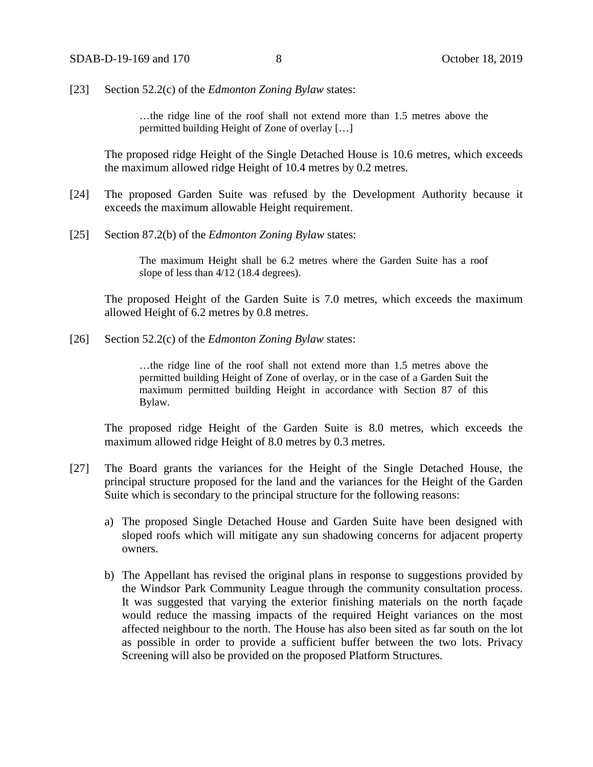[23] Section 52.2(c) of the *Edmonton Zoning Bylaw* states:

…the ridge line of the roof shall not extend more than 1.5 metres above the permitted building Height of Zone of overlay […]

The proposed ridge Height of the Single Detached House is 10.6 metres, which exceeds the maximum allowed ridge Height of 10.4 metres by 0.2 metres.

- [24] The proposed Garden Suite was refused by the Development Authority because it exceeds the maximum allowable Height requirement.
- [25] Section 87.2(b) of the *Edmonton Zoning Bylaw* states:

The maximum Height shall be 6.2 metres where the Garden Suite has a roof slope of less than 4/12 (18.4 degrees).

The proposed Height of the Garden Suite is 7.0 metres, which exceeds the maximum allowed Height of 6.2 metres by 0.8 metres.

[26] Section 52.2(c) of the *Edmonton Zoning Bylaw* states:

…the ridge line of the roof shall not extend more than 1.5 metres above the permitted building Height of Zone of overlay, or in the case of a Garden Suit the maximum permitted building Height in accordance with Section 87 of this Bylaw.

The proposed ridge Height of the Garden Suite is 8.0 metres, which exceeds the maximum allowed ridge Height of 8.0 metres by 0.3 metres.

- [27] The Board grants the variances for the Height of the Single Detached House, the principal structure proposed for the land and the variances for the Height of the Garden Suite which is secondary to the principal structure for the following reasons:
	- a) The proposed Single Detached House and Garden Suite have been designed with sloped roofs which will mitigate any sun shadowing concerns for adjacent property owners.
	- b) The Appellant has revised the original plans in response to suggestions provided by the Windsor Park Community League through the community consultation process. It was suggested that varying the exterior finishing materials on the north façade would reduce the massing impacts of the required Height variances on the most affected neighbour to the north. The House has also been sited as far south on the lot as possible in order to provide a sufficient buffer between the two lots. Privacy Screening will also be provided on the proposed Platform Structures.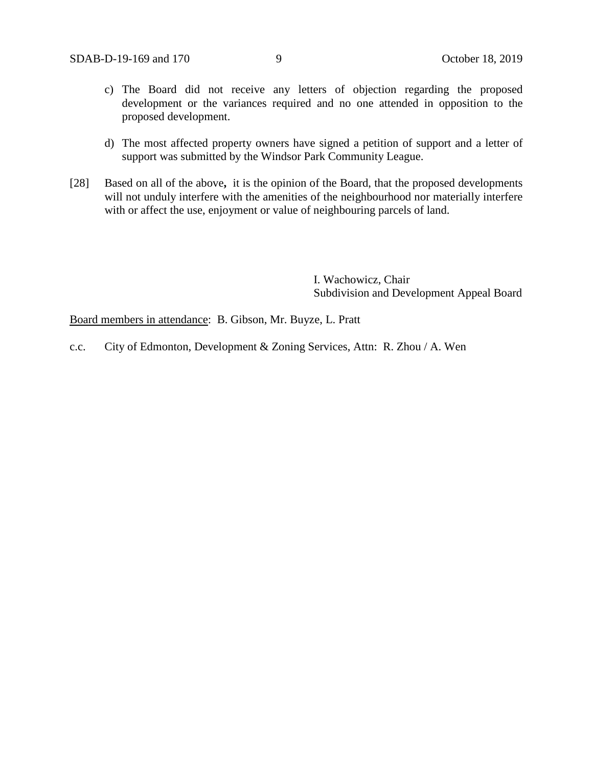- c) The Board did not receive any letters of objection regarding the proposed development or the variances required and no one attended in opposition to the proposed development.
- d) The most affected property owners have signed a petition of support and a letter of support was submitted by the Windsor Park Community League.
- [28] Based on all of the above**,** it is the opinion of the Board, that the proposed developments will not unduly interfere with the amenities of the neighbourhood nor materially interfere with or affect the use, enjoyment or value of neighbouring parcels of land.

I. Wachowicz, Chair Subdivision and Development Appeal Board

Board members in attendance: B. Gibson, Mr. Buyze, L. Pratt

c.c. City of Edmonton, Development & Zoning Services, Attn: R. Zhou / A. Wen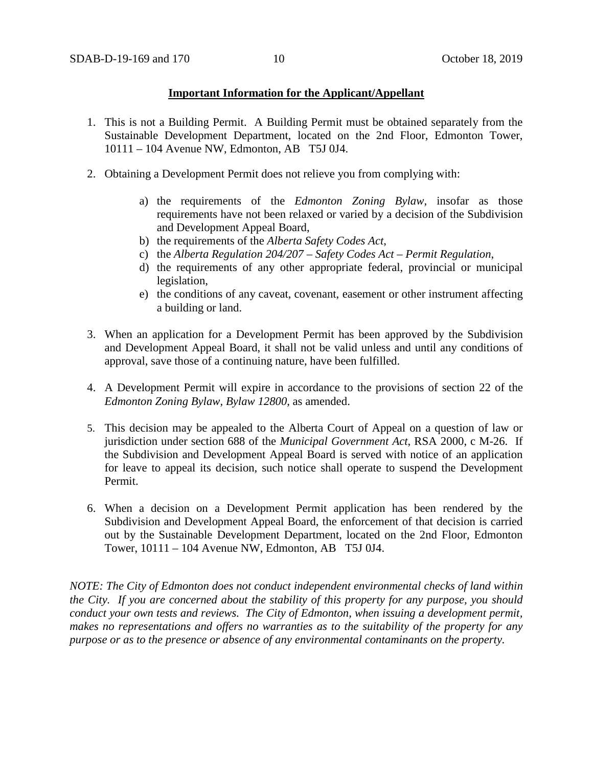# **Important Information for the Applicant/Appellant**

- 1. This is not a Building Permit. A Building Permit must be obtained separately from the Sustainable Development Department, located on the 2nd Floor, Edmonton Tower, 10111 – 104 Avenue NW, Edmonton, AB T5J 0J4.
- 2. Obtaining a Development Permit does not relieve you from complying with:
	- a) the requirements of the *Edmonton Zoning Bylaw*, insofar as those requirements have not been relaxed or varied by a decision of the Subdivision and Development Appeal Board,
	- b) the requirements of the *Alberta Safety Codes Act*,
	- c) the *Alberta Regulation 204/207 – Safety Codes Act – Permit Regulation*,
	- d) the requirements of any other appropriate federal, provincial or municipal legislation,
	- e) the conditions of any caveat, covenant, easement or other instrument affecting a building or land.
- 3. When an application for a Development Permit has been approved by the Subdivision and Development Appeal Board, it shall not be valid unless and until any conditions of approval, save those of a continuing nature, have been fulfilled.
- 4. A Development Permit will expire in accordance to the provisions of section 22 of the *Edmonton Zoning Bylaw, Bylaw 12800*, as amended.
- 5. This decision may be appealed to the Alberta Court of Appeal on a question of law or jurisdiction under section 688 of the *Municipal Government Act*, RSA 2000, c M-26. If the Subdivision and Development Appeal Board is served with notice of an application for leave to appeal its decision, such notice shall operate to suspend the Development Permit.
- 6. When a decision on a Development Permit application has been rendered by the Subdivision and Development Appeal Board, the enforcement of that decision is carried out by the Sustainable Development Department, located on the 2nd Floor, Edmonton Tower, 10111 – 104 Avenue NW, Edmonton, AB T5J 0J4.

*NOTE: The City of Edmonton does not conduct independent environmental checks of land within the City. If you are concerned about the stability of this property for any purpose, you should conduct your own tests and reviews. The City of Edmonton, when issuing a development permit, makes no representations and offers no warranties as to the suitability of the property for any purpose or as to the presence or absence of any environmental contaminants on the property.*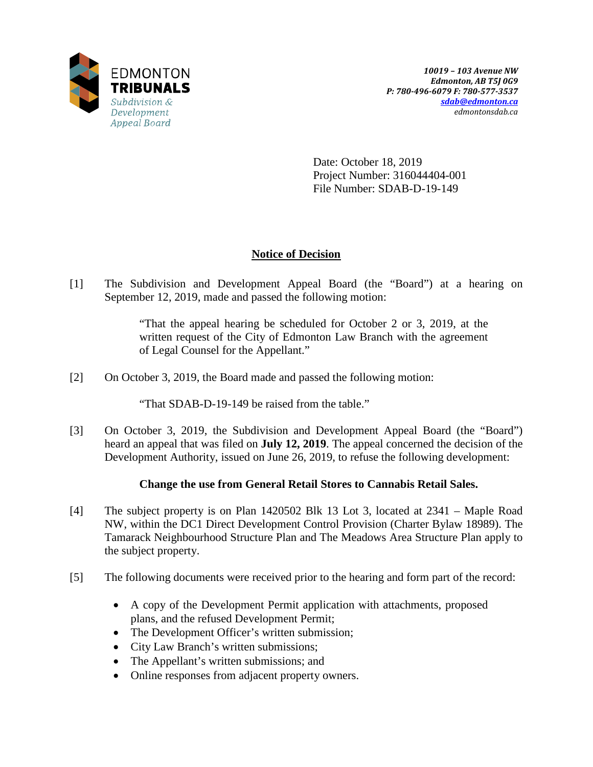

Date: October 18, 2019 Project Number: 316044404-001 File Number: SDAB-D-19-149

# **Notice of Decision**

[1] The Subdivision and Development Appeal Board (the "Board") at a hearing on September 12, 2019, made and passed the following motion:

> "That the appeal hearing be scheduled for October 2 or 3, 2019, at the written request of the City of Edmonton Law Branch with the agreement of Legal Counsel for the Appellant."

[2] On October 3, 2019, the Board made and passed the following motion:

"That SDAB-D-19-149 be raised from the table."

[3] On October 3, 2019, the Subdivision and Development Appeal Board (the "Board") heard an appeal that was filed on **July 12, 2019**. The appeal concerned the decision of the Development Authority, issued on June 26, 2019, to refuse the following development:

# **Change the use from General Retail Stores to Cannabis Retail Sales.**

- [4] The subject property is on Plan 1420502 Blk 13 Lot 3, located at 2341 Maple Road NW, within the DC1 Direct Development Control Provision (Charter Bylaw 18989). The Tamarack Neighbourhood Structure Plan and The Meadows Area Structure Plan apply to the subject property.
- [5] The following documents were received prior to the hearing and form part of the record:
	- A copy of the Development Permit application with attachments, proposed plans, and the refused Development Permit;
	- The Development Officer's written submission;
	- City Law Branch's written submissions;
	- The Appellant's written submissions; and
	- Online responses from adjacent property owners.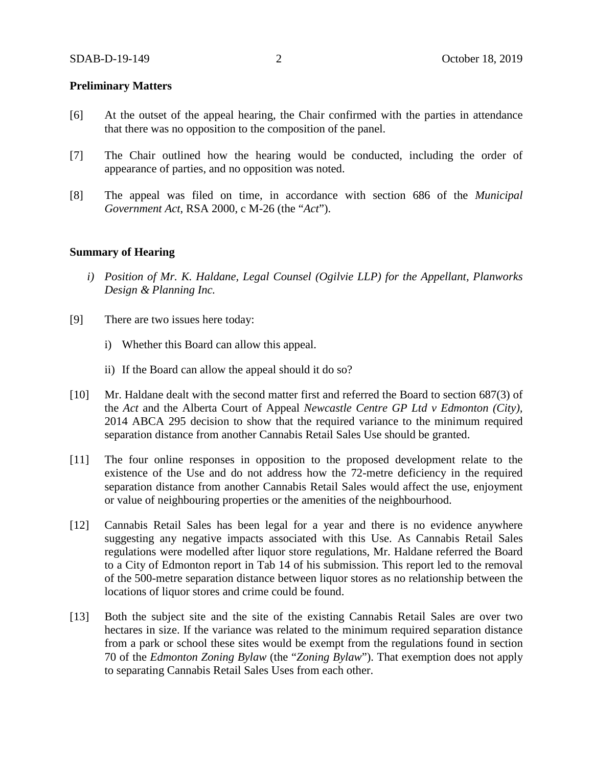# **Preliminary Matters**

- [6] At the outset of the appeal hearing, the Chair confirmed with the parties in attendance that there was no opposition to the composition of the panel.
- [7] The Chair outlined how the hearing would be conducted, including the order of appearance of parties, and no opposition was noted.
- [8] The appeal was filed on time, in accordance with section 686 of the *Municipal Government Act*, RSA 2000, c M-26 (the "*Act*").

## **Summary of Hearing**

- *i) Position of Mr. K. Haldane, Legal Counsel (Ogilvie LLP) for the Appellant, Planworks Design & Planning Inc.*
- [9] There are two issues here today:
	- i) Whether this Board can allow this appeal.
	- ii) If the Board can allow the appeal should it do so?
- [10] Mr. Haldane dealt with the second matter first and referred the Board to section 687(3) of the *Act* and the Alberta Court of Appeal *Newcastle Centre GP Ltd v Edmonton (City),* 2014 ABCA 295 decision to show that the required variance to the minimum required separation distance from another Cannabis Retail Sales Use should be granted.
- [11] The four online responses in opposition to the proposed development relate to the existence of the Use and do not address how the 72-metre deficiency in the required separation distance from another Cannabis Retail Sales would affect the use, enjoyment or value of neighbouring properties or the amenities of the neighbourhood.
- [12] Cannabis Retail Sales has been legal for a year and there is no evidence anywhere suggesting any negative impacts associated with this Use. As Cannabis Retail Sales regulations were modelled after liquor store regulations, Mr. Haldane referred the Board to a City of Edmonton report in Tab 14 of his submission. This report led to the removal of the 500-metre separation distance between liquor stores as no relationship between the locations of liquor stores and crime could be found.
- [13] Both the subject site and the site of the existing Cannabis Retail Sales are over two hectares in size. If the variance was related to the minimum required separation distance from a park or school these sites would be exempt from the regulations found in section 70 of the *Edmonton Zoning Bylaw* (the "*Zoning Bylaw*"). That exemption does not apply to separating Cannabis Retail Sales Uses from each other.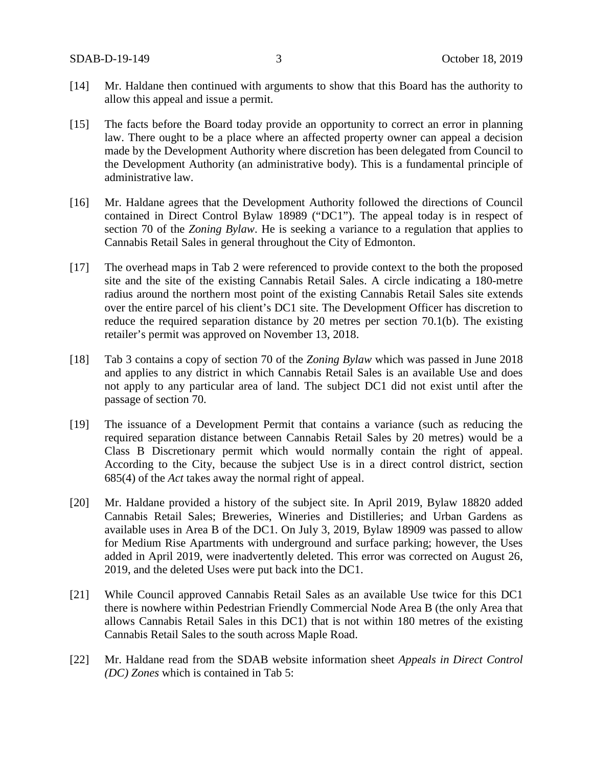- [14] Mr. Haldane then continued with arguments to show that this Board has the authority to allow this appeal and issue a permit.
- [15] The facts before the Board today provide an opportunity to correct an error in planning law. There ought to be a place where an affected property owner can appeal a decision made by the Development Authority where discretion has been delegated from Council to the Development Authority (an administrative body). This is a fundamental principle of administrative law.
- [16] Mr. Haldane agrees that the Development Authority followed the directions of Council contained in Direct Control Bylaw 18989 ("DC1"). The appeal today is in respect of section 70 of the *Zoning Bylaw*. He is seeking a variance to a regulation that applies to Cannabis Retail Sales in general throughout the City of Edmonton.
- [17] The overhead maps in Tab 2 were referenced to provide context to the both the proposed site and the site of the existing Cannabis Retail Sales. A circle indicating a 180-metre radius around the northern most point of the existing Cannabis Retail Sales site extends over the entire parcel of his client's DC1 site. The Development Officer has discretion to reduce the required separation distance by 20 metres per section 70.1(b). The existing retailer's permit was approved on November 13, 2018.
- [18] Tab 3 contains a copy of section 70 of the *Zoning Bylaw* which was passed in June 2018 and applies to any district in which Cannabis Retail Sales is an available Use and does not apply to any particular area of land. The subject DC1 did not exist until after the passage of section 70.
- [19] The issuance of a Development Permit that contains a variance (such as reducing the required separation distance between Cannabis Retail Sales by 20 metres) would be a Class B Discretionary permit which would normally contain the right of appeal. According to the City, because the subject Use is in a direct control district, section 685(4) of the *Act* takes away the normal right of appeal.
- [20] Mr. Haldane provided a history of the subject site. In April 2019, Bylaw 18820 added Cannabis Retail Sales; Breweries, Wineries and Distilleries; and Urban Gardens as available uses in Area B of the DC1. On July 3, 2019, Bylaw 18909 was passed to allow for Medium Rise Apartments with underground and surface parking; however, the Uses added in April 2019, were inadvertently deleted. This error was corrected on August 26, 2019, and the deleted Uses were put back into the DC1.
- [21] While Council approved Cannabis Retail Sales as an available Use twice for this DC1 there is nowhere within Pedestrian Friendly Commercial Node Area B (the only Area that allows Cannabis Retail Sales in this DC1) that is not within 180 metres of the existing Cannabis Retail Sales to the south across Maple Road.
- [22] Mr. Haldane read from the SDAB website information sheet *Appeals in Direct Control (DC) Zones* which is contained in Tab 5: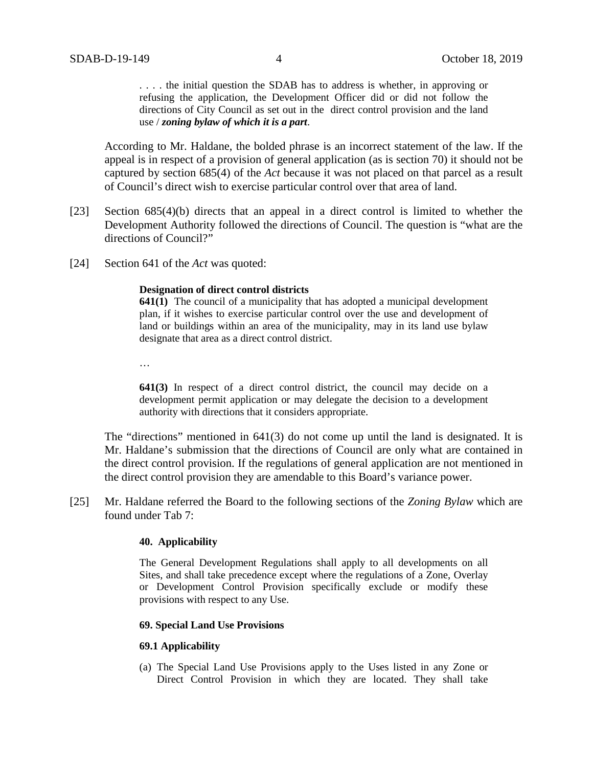. . . . the initial question the SDAB has to address is whether, in approving or refusing the application, the Development Officer did or did not follow the directions of City Council as set out in the direct control provision and the land use / *zoning bylaw of which it is a part*.

According to Mr. Haldane, the bolded phrase is an incorrect statement of the law. If the appeal is in respect of a provision of general application (as is section 70) it should not be captured by section 685(4) of the *Act* because it was not placed on that parcel as a result of Council's direct wish to exercise particular control over that area of land.

- [23] Section 685(4)(b) directs that an appeal in a direct control is limited to whether the Development Authority followed the directions of Council. The question is "what are the directions of Council?"
- [24] Section 641 of the *Act* was quoted:

#### **Designation of direct control districts**

**641(1)** The council of a municipality that has adopted a municipal development plan, if it wishes to exercise particular control over the use and development of land or buildings within an area of the municipality, may in its land use bylaw designate that area as a direct control district.

…

**641(3)** In respect of a direct control district, the council may decide on a development permit application or may delegate the decision to a development authority with directions that it considers appropriate.

The "directions" mentioned in 641(3) do not come up until the land is designated. It is Mr. Haldane's submission that the directions of Council are only what are contained in the direct control provision. If the regulations of general application are not mentioned in the direct control provision they are amendable to this Board's variance power.

[25] Mr. Haldane referred the Board to the following sections of the *Zoning Bylaw* which are found under Tab 7:

#### **40. Applicability**

The General Development Regulations shall apply to all developments on all Sites, and shall take precedence except where the regulations of a Zone, Overlay or Development Control Provision specifically exclude or modify these provisions with respect to any Use.

## **69. Special Land Use Provisions**

#### **69.1 Applicability**

(a) The Special Land Use Provisions apply to the Uses listed in any Zone or Direct Control Provision in which they are located. They shall take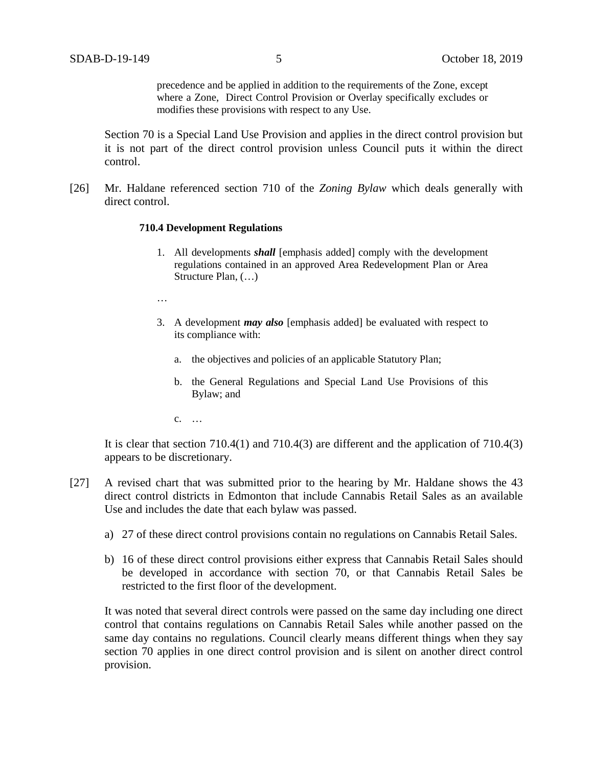precedence and be applied in addition to the requirements of the Zone, except where a Zone, Direct Control Provision or Overlay specifically excludes or modifies these provisions with respect to any Use.

Section 70 is a Special Land Use Provision and applies in the direct control provision but it is not part of the direct control provision unless Council puts it within the direct control.

[26] Mr. Haldane referenced section 710 of the *Zoning Bylaw* which deals generally with direct control.

#### **710.4 Development Regulations**

- 1. All developments *shall* [emphasis added] comply with the development regulations contained in an approved Area Redevelopment Plan or Area Structure Plan, (…)
- …
- 3. A development *may also* [emphasis added] be evaluated with respect to its compliance with:
	- a. the objectives and policies of an applicable Statutory Plan;
	- b. the General Regulations and Special Land Use Provisions of this Bylaw; and
	- c. …

It is clear that section  $710.4(1)$  and  $710.4(3)$  are different and the application of  $710.4(3)$ appears to be discretionary.

- [27] A revised chart that was submitted prior to the hearing by Mr. Haldane shows the 43 direct control districts in Edmonton that include Cannabis Retail Sales as an available Use and includes the date that each bylaw was passed.
	- a) 27 of these direct control provisions contain no regulations on Cannabis Retail Sales.
	- b) 16 of these direct control provisions either express that Cannabis Retail Sales should be developed in accordance with section 70, or that Cannabis Retail Sales be restricted to the first floor of the development.

It was noted that several direct controls were passed on the same day including one direct control that contains regulations on Cannabis Retail Sales while another passed on the same day contains no regulations. Council clearly means different things when they say section 70 applies in one direct control provision and is silent on another direct control provision.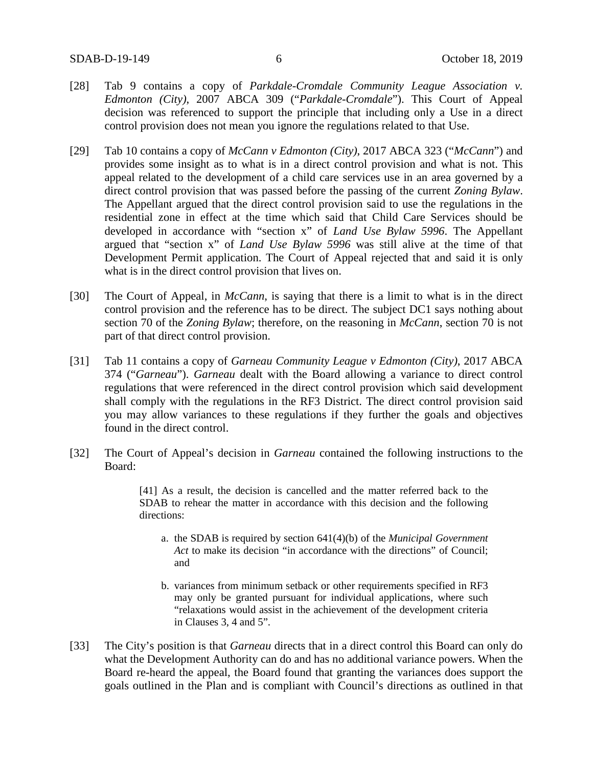- [28] Tab 9 contains a copy of *Parkdale-Cromdale Community League Association v. Edmonton (City)*, 2007 ABCA 309 ("*Parkdale-Cromdale*"). This Court of Appeal decision was referenced to support the principle that including only a Use in a direct control provision does not mean you ignore the regulations related to that Use.
- [29] Tab 10 contains a copy of *McCann v Edmonton (City)*, 2017 ABCA 323 ("*McCann*") and provides some insight as to what is in a direct control provision and what is not. This appeal related to the development of a child care services use in an area governed by a direct control provision that was passed before the passing of the current *Zoning Bylaw*. The Appellant argued that the direct control provision said to use the regulations in the residential zone in effect at the time which said that Child Care Services should be developed in accordance with "section x" of *Land Use Bylaw 5996*. The Appellant argued that "section x" of *Land Use Bylaw 5996* was still alive at the time of that Development Permit application. The Court of Appeal rejected that and said it is only what is in the direct control provision that lives on.
- [30] The Court of Appeal, in *McCann*, is saying that there is a limit to what is in the direct control provision and the reference has to be direct. The subject DC1 says nothing about section 70 of the *Zoning Bylaw*; therefore, on the reasoning in *McCann*, section 70 is not part of that direct control provision.
- [31] Tab 11 contains a copy of *Garneau Community League v Edmonton (City)*, 2017 ABCA 374 ("*Garneau*"). *Garneau* dealt with the Board allowing a variance to direct control regulations that were referenced in the direct control provision which said development shall comply with the regulations in the RF3 District. The direct control provision said you may allow variances to these regulations if they further the goals and objectives found in the direct control.
- [32] The Court of Appeal's decision in *Garneau* contained the following instructions to the Board:

[41] As a result, the decision is cancelled and the matter referred back to the SDAB to rehear the matter in accordance with this decision and the following directions:

- a. the SDAB is required by section 641(4)(b) of the *Municipal Government Act* to make its decision "in accordance with the directions" of Council; and
- b. variances from minimum setback or other requirements specified in RF3 may only be granted pursuant for individual applications, where such "relaxations would assist in the achievement of the development criteria in Clauses 3, 4 and 5".
- [33] The City's position is that *Garneau* directs that in a direct control this Board can only do what the Development Authority can do and has no additional variance powers. When the Board re-heard the appeal, the Board found that granting the variances does support the goals outlined in the Plan and is compliant with Council's directions as outlined in that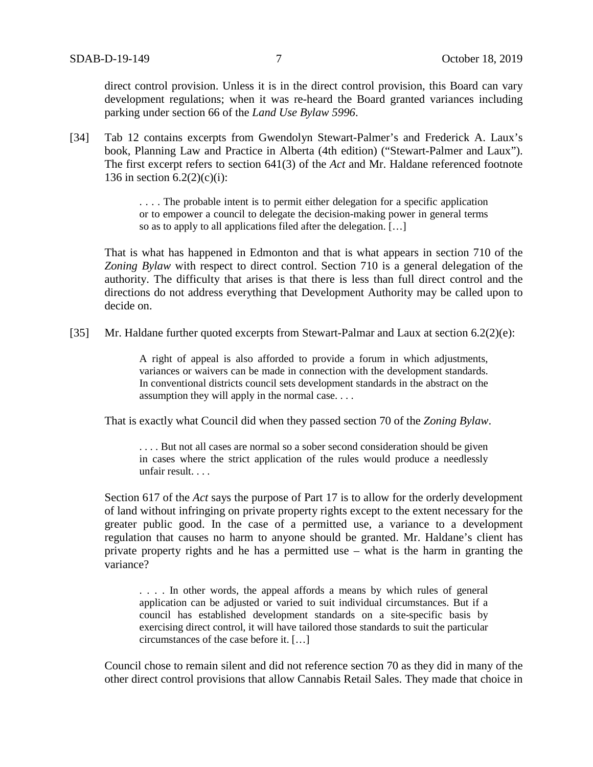direct control provision. Unless it is in the direct control provision, this Board can vary development regulations; when it was re-heard the Board granted variances including parking under section 66 of the *Land Use Bylaw 5996*.

[34] Tab 12 contains excerpts from Gwendolyn Stewart-Palmer's and Frederick A. Laux's book, Planning Law and Practice in Alberta (4th edition) ("Stewart-Palmer and Laux"). The first excerpt refers to section 641(3) of the *Act* and Mr. Haldane referenced footnote 136 in section  $6.2(2)(c)(i)$ :

> . . . . The probable intent is to permit either delegation for a specific application or to empower a council to delegate the decision-making power in general terms so as to apply to all applications filed after the delegation. […]

That is what has happened in Edmonton and that is what appears in section 710 of the *Zoning Bylaw* with respect to direct control. Section 710 is a general delegation of the authority. The difficulty that arises is that there is less than full direct control and the directions do not address everything that Development Authority may be called upon to decide on.

[35] Mr. Haldane further quoted excerpts from Stewart-Palmar and Laux at section 6.2(2)(e):

A right of appeal is also afforded to provide a forum in which adjustments, variances or waivers can be made in connection with the development standards. In conventional districts council sets development standards in the abstract on the assumption they will apply in the normal case. . . .

That is exactly what Council did when they passed section 70 of the *Zoning Bylaw*.

. . . . But not all cases are normal so a sober second consideration should be given in cases where the strict application of the rules would produce a needlessly unfair result. . . .

Section 617 of the *Act* says the purpose of Part 17 is to allow for the orderly development of land without infringing on private property rights except to the extent necessary for the greater public good. In the case of a permitted use, a variance to a development regulation that causes no harm to anyone should be granted. Mr. Haldane's client has private property rights and he has a permitted use – what is the harm in granting the variance?

. . . . In other words, the appeal affords a means by which rules of general application can be adjusted or varied to suit individual circumstances. But if a council has established development standards on a site-specific basis by exercising direct control, it will have tailored those standards to suit the particular circumstances of the case before it. […]

Council chose to remain silent and did not reference section 70 as they did in many of the other direct control provisions that allow Cannabis Retail Sales. They made that choice in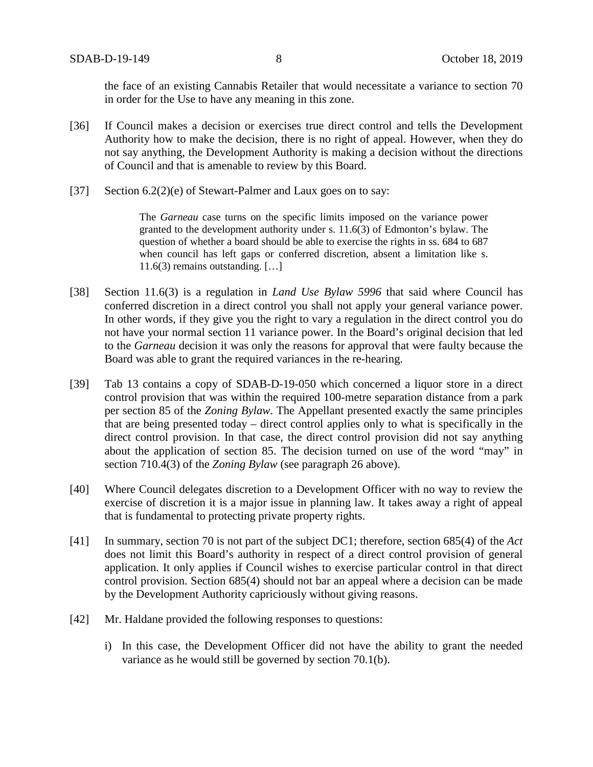the face of an existing Cannabis Retailer that would necessitate a variance to section 70 in order for the Use to have any meaning in this zone.

- [36] If Council makes a decision or exercises true direct control and tells the Development Authority how to make the decision, there is no right of appeal. However, when they do not say anything, the Development Authority is making a decision without the directions of Council and that is amenable to review by this Board.
- [37] Section 6.2(2)(e) of Stewart-Palmer and Laux goes on to say:

The *Garneau* case turns on the specific limits imposed on the variance power granted to the development authority under s. 11.6(3) of Edmonton's bylaw. The question of whether a board should be able to exercise the rights in ss. 684 to 687 when council has left gaps or conferred discretion, absent a limitation like s. 11.6(3) remains outstanding. […]

- [38] Section 11.6(3) is a regulation in *Land Use Bylaw 5996* that said where Council has conferred discretion in a direct control you shall not apply your general variance power. In other words, if they give you the right to vary a regulation in the direct control you do not have your normal section 11 variance power. In the Board's original decision that led to the *Garneau* decision it was only the reasons for approval that were faulty because the Board was able to grant the required variances in the re-hearing.
- [39] Tab 13 contains a copy of SDAB-D-19-050 which concerned a liquor store in a direct control provision that was within the required 100-metre separation distance from a park per section 85 of the *Zoning Bylaw*. The Appellant presented exactly the same principles that are being presented today – direct control applies only to what is specifically in the direct control provision. In that case, the direct control provision did not say anything about the application of section 85. The decision turned on use of the word "may" in section 710.4(3) of the *Zoning Bylaw* (see paragraph 26 above).
- [40] Where Council delegates discretion to a Development Officer with no way to review the exercise of discretion it is a major issue in planning law. It takes away a right of appeal that is fundamental to protecting private property rights.
- [41] In summary, section 70 is not part of the subject DC1; therefore, section 685(4) of the *Act* does not limit this Board's authority in respect of a direct control provision of general application. It only applies if Council wishes to exercise particular control in that direct control provision. Section 685(4) should not bar an appeal where a decision can be made by the Development Authority capriciously without giving reasons.
- [42] Mr. Haldane provided the following responses to questions:
	- i) In this case, the Development Officer did not have the ability to grant the needed variance as he would still be governed by section 70.1(b).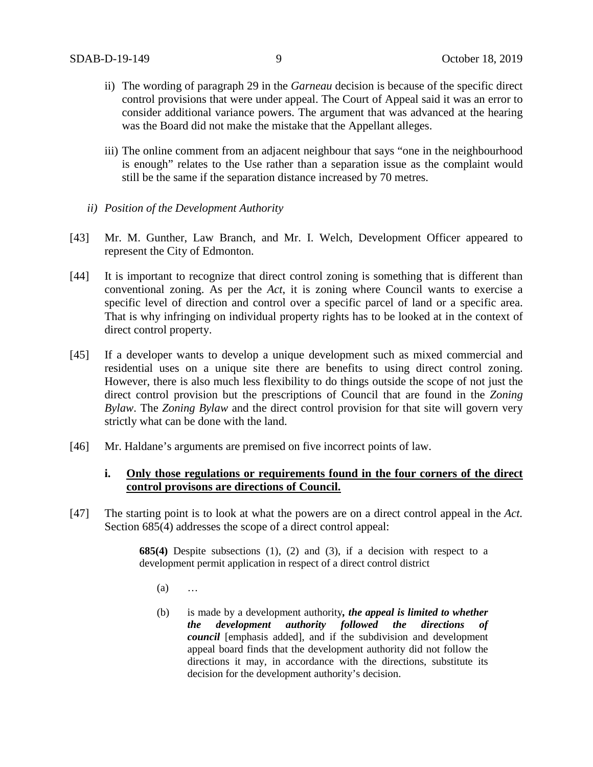- ii) The wording of paragraph 29 in the *Garneau* decision is because of the specific direct control provisions that were under appeal. The Court of Appeal said it was an error to consider additional variance powers. The argument that was advanced at the hearing was the Board did not make the mistake that the Appellant alleges.
- iii) The online comment from an adjacent neighbour that says "one in the neighbourhood is enough" relates to the Use rather than a separation issue as the complaint would still be the same if the separation distance increased by 70 metres.
- *ii) Position of the Development Authority*
- [43] Mr. M. Gunther, Law Branch, and Mr. I. Welch, Development Officer appeared to represent the City of Edmonton.
- [44] It is important to recognize that direct control zoning is something that is different than conventional zoning. As per the *Act*, it is zoning where Council wants to exercise a specific level of direction and control over a specific parcel of land or a specific area. That is why infringing on individual property rights has to be looked at in the context of direct control property.
- [45] If a developer wants to develop a unique development such as mixed commercial and residential uses on a unique site there are benefits to using direct control zoning. However, there is also much less flexibility to do things outside the scope of not just the direct control provision but the prescriptions of Council that are found in the *Zoning Bylaw*. The *Zoning Bylaw* and the direct control provision for that site will govern very strictly what can be done with the land.
- [46] Mr. Haldane's arguments are premised on five incorrect points of law.

# **i.** Only those regulations or requirements found in the four corners of the direct **control provisons are directions of Council.**

[47] The starting point is to look at what the powers are on a direct control appeal in the *Act.* Section 685(4) addresses the scope of a direct control appeal:

> **685(4)** Despite subsections (1), (2) and (3), if a decision with respect to a development permit application in respect of a direct control district

- $(a)$  …
- (b) is made by a development authority*, the appeal is limited to whether the development authority followed the directions of council* [emphasis added], and if the subdivision and development appeal board finds that the development authority did not follow the directions it may, in accordance with the directions, substitute its decision for the development authority's decision.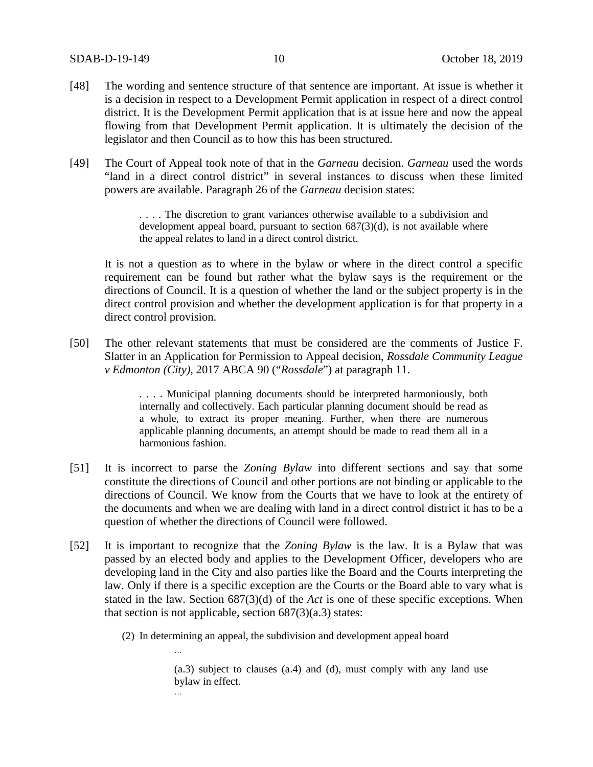- [48] The wording and sentence structure of that sentence are important. At issue is whether it is a decision in respect to a Development Permit application in respect of a direct control district. It is the Development Permit application that is at issue here and now the appeal flowing from that Development Permit application. It is ultimately the decision of the legislator and then Council as to how this has been structured.
- [49] The Court of Appeal took note of that in the *Garneau* decision. *Garneau* used the words "land in a direct control district" in several instances to discuss when these limited powers are available. Paragraph 26 of the *Garneau* decision states:

. . . . The discretion to grant variances otherwise available to a subdivision and development appeal board, pursuant to section 687(3)(d), is not available where the appeal relates to land in a direct control district.

It is not a question as to where in the bylaw or where in the direct control a specific requirement can be found but rather what the bylaw says is the requirement or the directions of Council. It is a question of whether the land or the subject property is in the direct control provision and whether the development application is for that property in a direct control provision.

[50] The other relevant statements that must be considered are the comments of Justice F. Slatter in an Application for Permission to Appeal decision, *Rossdale Community League v Edmonton (City)*, 2017 ABCA 90 ("*Rossdale*") at paragraph 11.

> . . . . Municipal planning documents should be interpreted harmoniously, both internally and collectively. Each particular planning document should be read as a whole, to extract its proper meaning. Further, when there are numerous applicable planning documents, an attempt should be made to read them all in a harmonious fashion.

- [51] It is incorrect to parse the *Zoning Bylaw* into different sections and say that some constitute the directions of Council and other portions are not binding or applicable to the directions of Council. We know from the Courts that we have to look at the entirety of the documents and when we are dealing with land in a direct control district it has to be a question of whether the directions of Council were followed.
- [52] It is important to recognize that the *Zoning Bylaw* is the law. It is a Bylaw that was passed by an elected body and applies to the Development Officer, developers who are developing land in the City and also parties like the Board and the Courts interpreting the law. Only if there is a specific exception are the Courts or the Board able to vary what is stated in the law. Section 687(3)(d) of the *Act* is one of these specific exceptions. When that section is not applicable, section  $687(3)(a.3)$  states:
	- (2) In determining an appeal, the subdivision and development appeal board

…

(a.3) subject to clauses (a.4) and (d), must comply with any land use bylaw in effect. …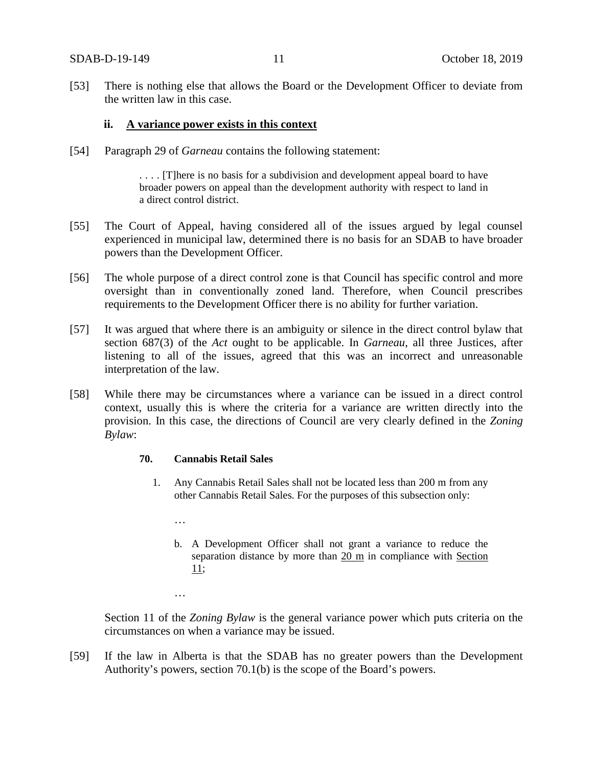[53] There is nothing else that allows the Board or the Development Officer to deviate from the written law in this case.

## **ii. A variance power exists in this context**

[54] Paragraph 29 of *Garneau* contains the following statement:

. . . . [T]here is no basis for a subdivision and development appeal board to have broader powers on appeal than the development authority with respect to land in a direct control district.

- [55] The Court of Appeal, having considered all of the issues argued by legal counsel experienced in municipal law, determined there is no basis for an SDAB to have broader powers than the Development Officer.
- [56] The whole purpose of a direct control zone is that Council has specific control and more oversight than in conventionally zoned land. Therefore, when Council prescribes requirements to the Development Officer there is no ability for further variation.
- [57] It was argued that where there is an ambiguity or silence in the direct control bylaw that section 687(3) of the *Act* ought to be applicable. In *Garneau*, all three Justices, after listening to all of the issues, agreed that this was an incorrect and unreasonable interpretation of the law.
- [58] While there may be circumstances where a variance can be issued in a direct control context, usually this is where the criteria for a variance are written directly into the provision. In this case, the directions of Council are very clearly defined in the *Zoning Bylaw*:

## **70. Cannabis Retail Sales**

…

…

- 1. Any Cannabis Retail Sales shall not be located less than 200 m from any other Cannabis Retail Sales. For the purposes of this subsection only:
	- b. A Development Officer shall not grant a variance to reduce the separation distance by more than  $20 \text{ m}$  in compliance with Section [11;](https://webdocs.edmonton.ca/InfraPlan/zoningbylaw/ZoningBylaw/Part1/Administrative/11__Authority_and_Responsibility_of_the_Development_Officer.htm)

Section 11 of the *Zoning Bylaw* is the general variance power which puts criteria on the circumstances on when a variance may be issued.

[59] If the law in Alberta is that the SDAB has no greater powers than the Development Authority's powers, section 70.1(b) is the scope of the Board's powers.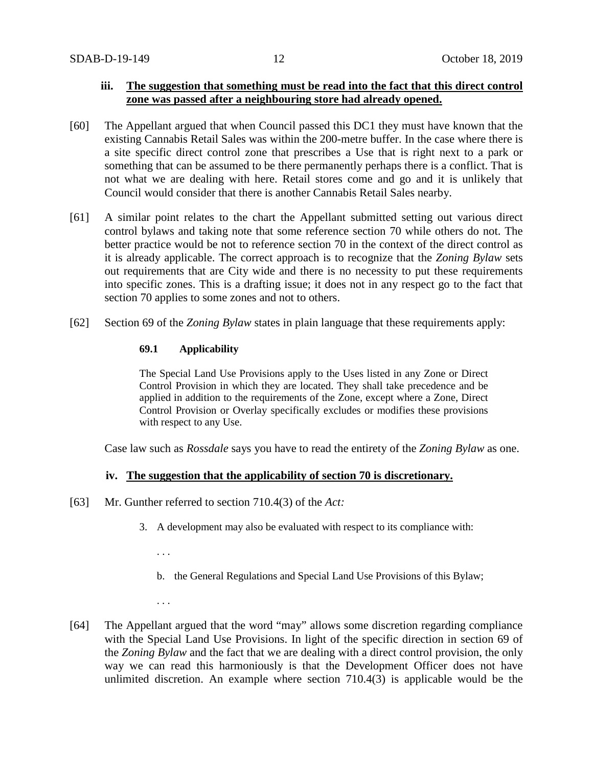# **iii. The suggestion that something must be read into the fact that this direct control zone was passed after a neighbouring store had already opened.**

- [60] The Appellant argued that when Council passed this DC1 they must have known that the existing Cannabis Retail Sales was within the 200-metre buffer. In the case where there is a site specific direct control zone that prescribes a Use that is right next to a park or something that can be assumed to be there permanently perhaps there is a conflict. That is not what we are dealing with here. Retail stores come and go and it is unlikely that Council would consider that there is another Cannabis Retail Sales nearby.
- [61] A similar point relates to the chart the Appellant submitted setting out various direct control bylaws and taking note that some reference section 70 while others do not. The better practice would be not to reference section 70 in the context of the direct control as it is already applicable. The correct approach is to recognize that the *Zoning Bylaw* sets out requirements that are City wide and there is no necessity to put these requirements into specific zones. This is a drafting issue; it does not in any respect go to the fact that section 70 applies to some zones and not to others.
- [62] Section 69 of the *Zoning Bylaw* states in plain language that these requirements apply:

## **69.1 Applicability**

The Special Land Use Provisions apply to the Uses listed in any Zone or Direct Control Provision in which they are located. They shall take precedence and be applied in addition to the requirements of the Zone, except where a Zone, Direct Control Provision or Overlay specifically excludes or modifies these provisions with respect to any Use.

Case law such as *Rossdale* says you have to read the entirety of the *Zoning Bylaw* as one.

## **iv. The suggestion that the applicability of section 70 is discretionary.**

- [63] Mr. Gunther referred to section 710.4(3) of the *Act:*
	- 3. A development may also be evaluated with respect to its compliance with:

. . .

- b. the General Regulations and Special Land Use Provisions of this Bylaw;
- . . .
- [64] The Appellant argued that the word "may" allows some discretion regarding compliance with the Special Land Use Provisions. In light of the specific direction in section 69 of the *Zoning Bylaw* and the fact that we are dealing with a direct control provision, the only way we can read this harmoniously is that the Development Officer does not have unlimited discretion. An example where section 710.4(3) is applicable would be the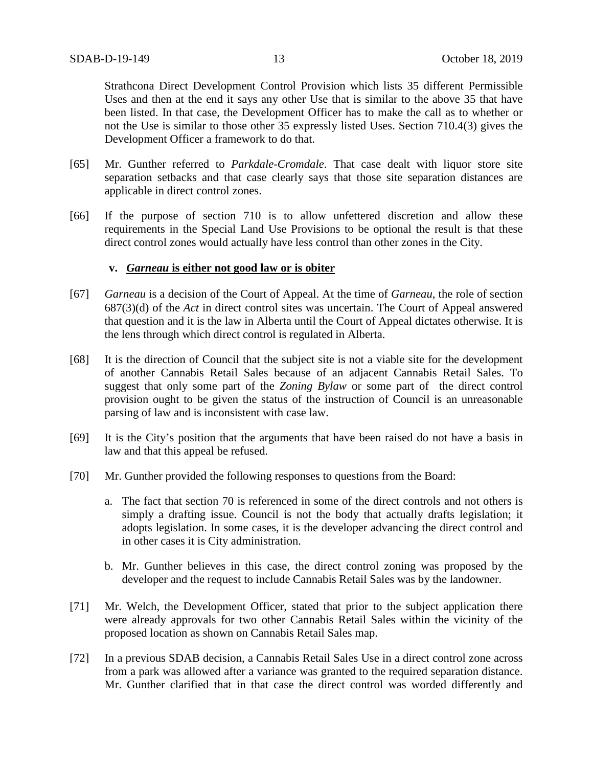Strathcona Direct Development Control Provision which lists 35 different Permissible Uses and then at the end it says any other Use that is similar to the above 35 that have been listed. In that case, the Development Officer has to make the call as to whether or not the Use is similar to those other 35 expressly listed Uses. Section 710.4(3) gives the Development Officer a framework to do that.

- [65] Mr. Gunther referred to *Parkdale-Cromdale*. That case dealt with liquor store site separation setbacks and that case clearly says that those site separation distances are applicable in direct control zones.
- [66] If the purpose of section 710 is to allow unfettered discretion and allow these requirements in the Special Land Use Provisions to be optional the result is that these direct control zones would actually have less control than other zones in the City.

## **v.** *Garneau* **is either not good law or is obiter**

- [67] *Garneau* is a decision of the Court of Appeal. At the time of *Garneau*, the role of section 687(3)(d) of the *Act* in direct control sites was uncertain. The Court of Appeal answered that question and it is the law in Alberta until the Court of Appeal dictates otherwise. It is the lens through which direct control is regulated in Alberta.
- [68] It is the direction of Council that the subject site is not a viable site for the development of another Cannabis Retail Sales because of an adjacent Cannabis Retail Sales. To suggest that only some part of the *Zoning Bylaw* or some part of the direct control provision ought to be given the status of the instruction of Council is an unreasonable parsing of law and is inconsistent with case law.
- [69] It is the City's position that the arguments that have been raised do not have a basis in law and that this appeal be refused.
- [70] Mr. Gunther provided the following responses to questions from the Board:
	- a. The fact that section 70 is referenced in some of the direct controls and not others is simply a drafting issue. Council is not the body that actually drafts legislation; it adopts legislation. In some cases, it is the developer advancing the direct control and in other cases it is City administration.
	- b. Mr. Gunther believes in this case, the direct control zoning was proposed by the developer and the request to include Cannabis Retail Sales was by the landowner.
- [71] Mr. Welch, the Development Officer, stated that prior to the subject application there were already approvals for two other Cannabis Retail Sales within the vicinity of the proposed location as shown on Cannabis Retail Sales map.
- [72] In a previous SDAB decision, a Cannabis Retail Sales Use in a direct control zone across from a park was allowed after a variance was granted to the required separation distance. Mr. Gunther clarified that in that case the direct control was worded differently and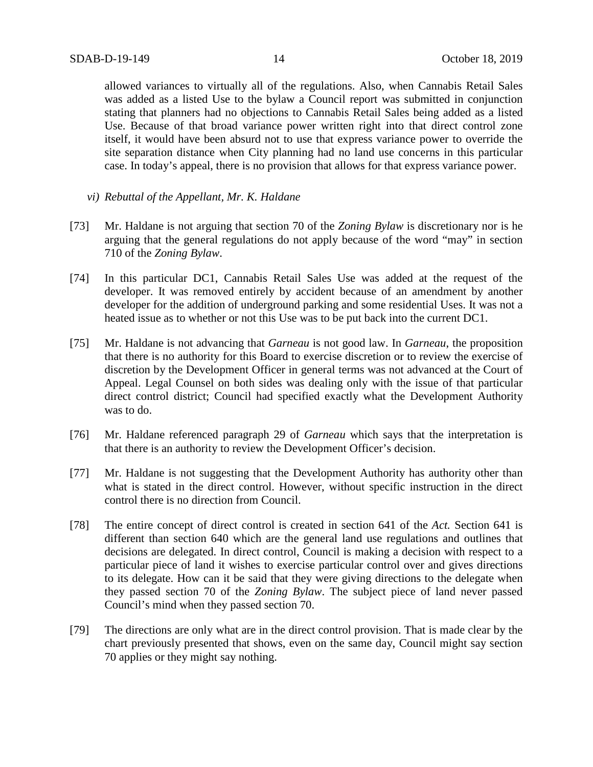allowed variances to virtually all of the regulations. Also, when Cannabis Retail Sales was added as a listed Use to the bylaw a Council report was submitted in conjunction stating that planners had no objections to Cannabis Retail Sales being added as a listed Use. Because of that broad variance power written right into that direct control zone itself, it would have been absurd not to use that express variance power to override the site separation distance when City planning had no land use concerns in this particular case. In today's appeal, there is no provision that allows for that express variance power.

- *vi) Rebuttal of the Appellant, Mr. K. Haldane*
- [73] Mr. Haldane is not arguing that section 70 of the *Zoning Bylaw* is discretionary nor is he arguing that the general regulations do not apply because of the word "may" in section 710 of the *Zoning Bylaw*.
- [74] In this particular DC1, Cannabis Retail Sales Use was added at the request of the developer. It was removed entirely by accident because of an amendment by another developer for the addition of underground parking and some residential Uses. It was not a heated issue as to whether or not this Use was to be put back into the current DC1.
- [75] Mr. Haldane is not advancing that *Garneau* is not good law. In *Garneau*, the proposition that there is no authority for this Board to exercise discretion or to review the exercise of discretion by the Development Officer in general terms was not advanced at the Court of Appeal. Legal Counsel on both sides was dealing only with the issue of that particular direct control district; Council had specified exactly what the Development Authority was to do.
- [76] Mr. Haldane referenced paragraph 29 of *Garneau* which says that the interpretation is that there is an authority to review the Development Officer's decision.
- [77] Mr. Haldane is not suggesting that the Development Authority has authority other than what is stated in the direct control. However, without specific instruction in the direct control there is no direction from Council.
- [78] The entire concept of direct control is created in section 641 of the *Act.* Section 641 is different than section 640 which are the general land use regulations and outlines that decisions are delegated. In direct control, Council is making a decision with respect to a particular piece of land it wishes to exercise particular control over and gives directions to its delegate. How can it be said that they were giving directions to the delegate when they passed section 70 of the *Zoning Bylaw*. The subject piece of land never passed Council's mind when they passed section 70.
- [79] The directions are only what are in the direct control provision. That is made clear by the chart previously presented that shows, even on the same day, Council might say section 70 applies or they might say nothing.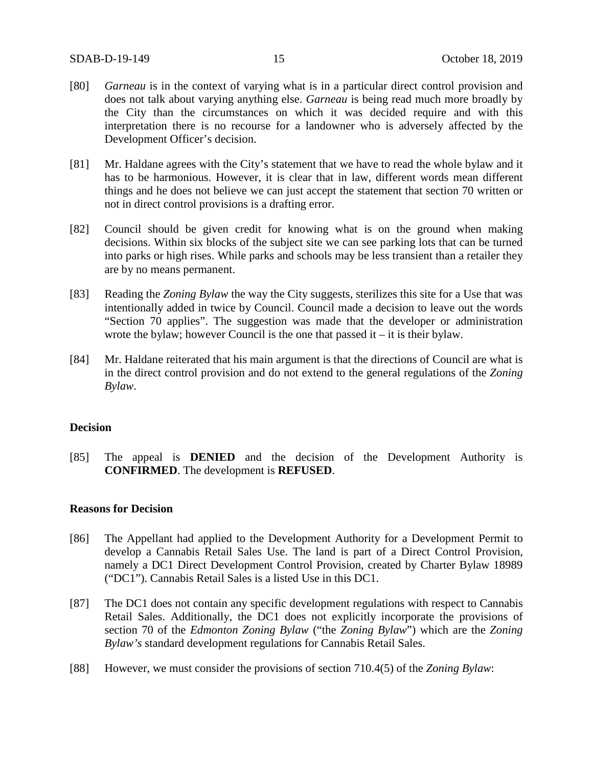- [80] *Garneau* is in the context of varying what is in a particular direct control provision and does not talk about varying anything else. *Garneau* is being read much more broadly by the City than the circumstances on which it was decided require and with this interpretation there is no recourse for a landowner who is adversely affected by the Development Officer's decision.
- [81] Mr. Haldane agrees with the City's statement that we have to read the whole bylaw and it has to be harmonious. However, it is clear that in law, different words mean different things and he does not believe we can just accept the statement that section 70 written or not in direct control provisions is a drafting error.
- [82] Council should be given credit for knowing what is on the ground when making decisions. Within six blocks of the subject site we can see parking lots that can be turned into parks or high rises. While parks and schools may be less transient than a retailer they are by no means permanent.
- [83] Reading the *Zoning Bylaw* the way the City suggests, sterilizes this site for a Use that was intentionally added in twice by Council. Council made a decision to leave out the words "Section 70 applies". The suggestion was made that the developer or administration wrote the bylaw; however Council is the one that passed it – it is their bylaw.
- [84] Mr. Haldane reiterated that his main argument is that the directions of Council are what is in the direct control provision and do not extend to the general regulations of the *Zoning Bylaw*.

#### **Decision**

[85] The appeal is **DENIED** and the decision of the Development Authority is **CONFIRMED**. The development is **REFUSED**.

## **Reasons for Decision**

- [86] The Appellant had applied to the Development Authority for a Development Permit to develop a Cannabis Retail Sales Use. The land is part of a Direct Control Provision, namely a DC1 Direct Development Control Provision, created by Charter Bylaw 18989 ("DC1"). Cannabis Retail Sales is a listed Use in this DC1.
- [87] The DC1 does not contain any specific development regulations with respect to Cannabis Retail Sales. Additionally, the DC1 does not explicitly incorporate the provisions of section 70 of the *Edmonton Zoning Bylaw* ("the *Zoning Bylaw*") which are the *Zoning Bylaw's* standard development regulations for Cannabis Retail Sales.
- [88] However, we must consider the provisions of section 710.4(5) of the *Zoning Bylaw*: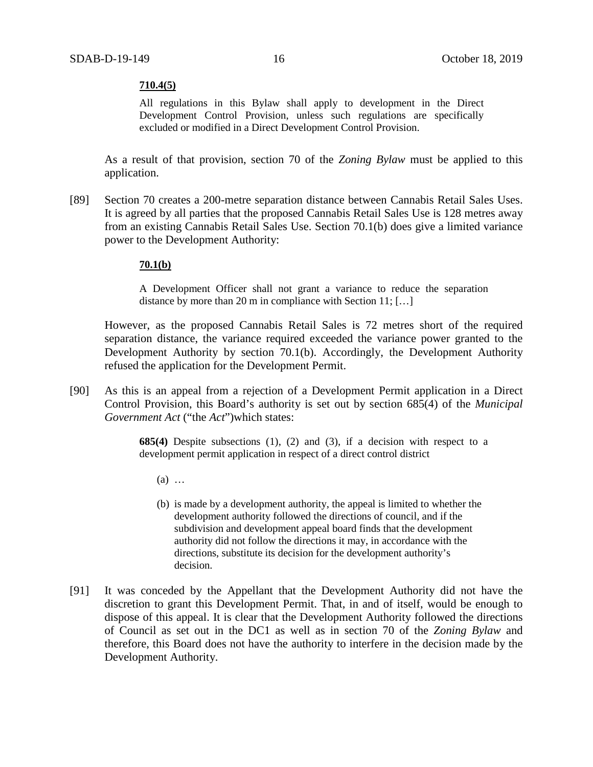#### **710.4(5)**

All regulations in this Bylaw shall apply to development in the Direct Development Control Provision, unless such regulations are specifically excluded or modified in a Direct Development Control Provision.

As a result of that provision, section 70 of the *Zoning Bylaw* must be applied to this application.

[89] Section 70 creates a 200-metre separation distance between Cannabis Retail Sales Uses. It is agreed by all parties that the proposed Cannabis Retail Sales Use is 128 metres away from an existing Cannabis Retail Sales Use. Section 70.1(b) does give a limited variance power to the Development Authority:

#### **70.1(b)**

A Development Officer shall not grant a variance to reduce the separation distance by more than [20 m](javascript:void(0);) in compliance wit[h Section 11;](https://webdocs.edmonton.ca/InfraPlan/zoningbylaw/ZoningBylaw/Part1/Administrative/11__Authority_and_Responsibility_of_the_Development_Officer.htm) [...]

However, as the proposed Cannabis Retail Sales is 72 metres short of the required separation distance, the variance required exceeded the variance power granted to the Development Authority by section 70.1(b). Accordingly, the Development Authority refused the application for the Development Permit.

[90] As this is an appeal from a rejection of a Development Permit application in a Direct Control Provision, this Board's authority is set out by section 685(4) of the *Municipal Government Act* ("the *Act*")which states:

> **685(4)** Despite subsections (1), (2) and (3), if a decision with respect to a development permit application in respect of a direct control district

- (a) …
- (b) is made by a development authority, the appeal is limited to whether the development authority followed the directions of council, and if the subdivision and development appeal board finds that the development authority did not follow the directions it may, in accordance with the directions, substitute its decision for the development authority's decision.
- [91] It was conceded by the Appellant that the Development Authority did not have the discretion to grant this Development Permit. That, in and of itself, would be enough to dispose of this appeal. It is clear that the Development Authority followed the directions of Council as set out in the DC1 as well as in section 70 of the *Zoning Bylaw* and therefore, this Board does not have the authority to interfere in the decision made by the Development Authority.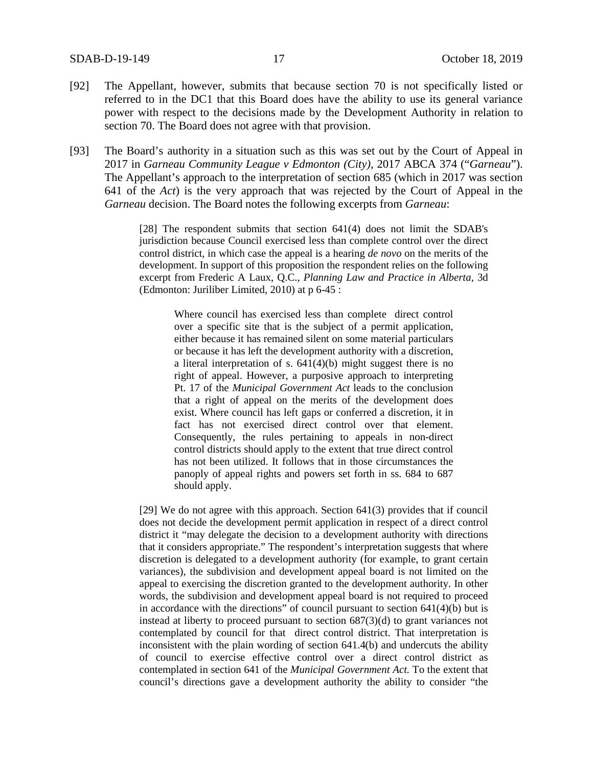- [92] The Appellant, however, submits that because section 70 is not specifically listed or referred to in the DC1 that this Board does have the ability to use its general variance power with respect to the decisions made by the Development Authority in relation to section 70. The Board does not agree with that provision.
- [93] The Board's authority in a situation such as this was set out by the Court of Appeal in 2017 in *Garneau Community League v Edmonton (City),* 2017 ABCA 374 ("*Garneau*"). The Appellant's approach to the interpretation of section 685 (which in 2017 was section 641 of the *Act*) is the very approach that was rejected by the Court of Appeal in the *Garneau* decision. The Board notes the following excerpts from *Garneau*:

[28] The respondent submits that section 641(4) does not limit the SDAB's jurisdiction because Council exercised less than complete control over the direct control district, in which case the appeal is a hearing *de novo* on the merits of the development. In support of this proposition the respondent relies on the following excerpt from Frederic A Laux, Q.C., *Planning Law and Practice in Alberta,* 3d (Edmonton: Juriliber Limited, 2010) at p 6-45 :

> Where council has exercised less than complete direct control over a specific site that is the subject of a permit application, either because it has remained silent on some material particulars or because it has left the development authority with a discretion, a literal interpretation of s. 641(4)(b) might suggest there is no right of appeal. However, a purposive approach to interpreting Pt. 17 of the *Municipal Government Act* leads to the conclusion that a right of appeal on the merits of the development does exist. Where council has left gaps or conferred a discretion, it in fact has not exercised direct control over that element. Consequently, the rules pertaining to appeals in non-direct control districts should apply to the extent that true direct control has not been utilized. It follows that in those circumstances the panoply of appeal rights and powers set forth in ss. 684 to 687 should apply.

[29] We do not agree with this approach. Section 641(3) provides that if council does not decide the development permit application in respect of a direct control district it "may delegate the decision to a development authority with directions that it considers appropriate." The respondent's interpretation suggests that where discretion is delegated to a development authority (for example, to grant certain variances), the subdivision and development appeal board is not limited on the appeal to exercising the discretion granted to the development authority. In other words, the subdivision and development appeal board is not required to proceed in accordance with the directions" of council pursuant to section  $641(4)(b)$  but is instead at liberty to proceed pursuant to section  $687(3)(d)$  to grant variances not contemplated by council for that direct control district. That interpretation is inconsistent with the plain wording of section 641.4(b) and undercuts the ability of council to exercise effective control over a direct control district as contemplated in section 641 of the *Municipal Government Act.* To the extent that council's directions gave a development authority the ability to consider "the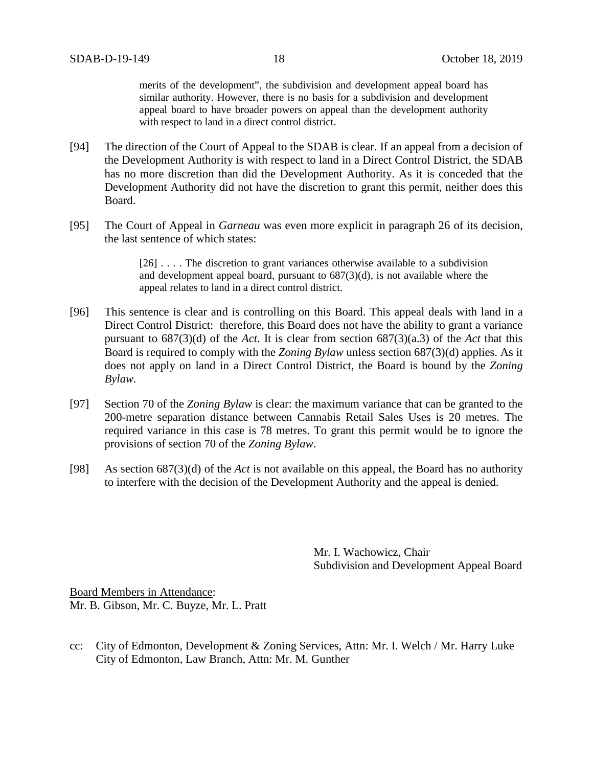merits of the development", the subdivision and development appeal board has similar authority. However, there is no basis for a subdivision and development appeal board to have broader powers on appeal than the development authority with respect to land in a direct control district.

- [94] The direction of the Court of Appeal to the SDAB is clear. If an appeal from a decision of the Development Authority is with respect to land in a Direct Control District, the SDAB has no more discretion than did the Development Authority. As it is conceded that the Development Authority did not have the discretion to grant this permit, neither does this Board.
- [95] The Court of Appeal in *Garneau* was even more explicit in paragraph 26 of its decision, the last sentence of which states:

[26] . . . . The discretion to grant variances otherwise available to a subdivision and development appeal board, pursuant to 687(3)(d), is not available where the appeal relates to land in a direct control district.

- [96] This sentence is clear and is controlling on this Board. This appeal deals with land in a Direct Control District: therefore, this Board does not have the ability to grant a variance pursuant to 687(3)(d) of the *Act*. It is clear from section 687(3)(a.3) of the *Act* that this Board is required to comply with the *Zoning Bylaw* unless section 687(3)(d) applies. As it does not apply on land in a Direct Control District, the Board is bound by the *Zoning Bylaw.*
- [97] Section 70 of the *Zoning Bylaw* is clear: the maximum variance that can be granted to the 200-metre separation distance between Cannabis Retail Sales Uses is 20 metres. The required variance in this case is 78 metres. To grant this permit would be to ignore the provisions of section 70 of the *Zoning Bylaw*.
- [98] As section 687(3)(d) of the *Act* is not available on this appeal, the Board has no authority to interfere with the decision of the Development Authority and the appeal is denied.

Mr. I. Wachowicz, Chair Subdivision and Development Appeal Board

Board Members in Attendance: Mr. B. Gibson, Mr. C. Buyze, Mr. L. Pratt

cc: City of Edmonton, Development & Zoning Services, Attn: Mr. I. Welch / Mr. Harry Luke City of Edmonton, Law Branch, Attn: Mr. M. Gunther